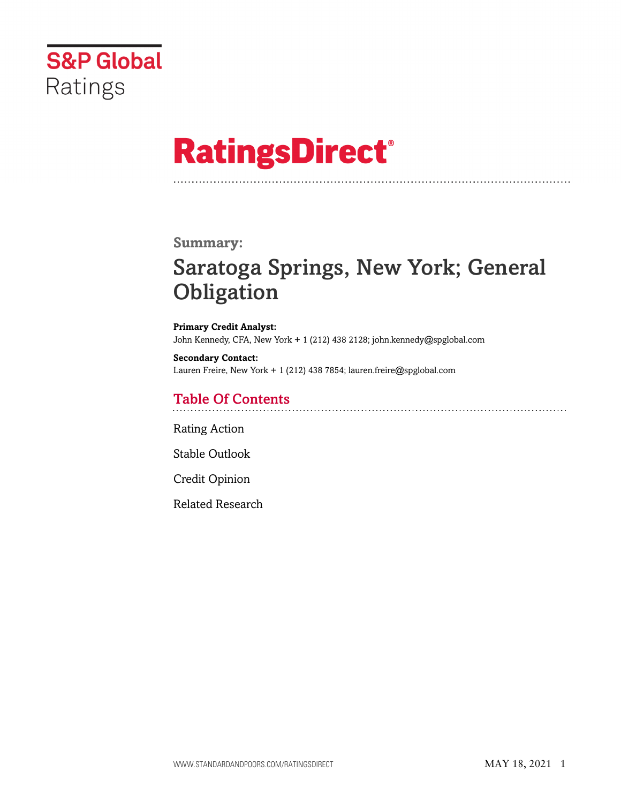

# **RatingsDirect®**

### **Summary:**

# Saratoga Springs, New York; General **Obligation**

**Primary Credit Analyst:** John Kennedy, CFA, New York + 1 (212) 438 2128; john.kennedy@spglobal.com

**Secondary Contact:** Lauren Freire, New York + 1 (212) 438 7854; lauren.freire@spglobal.com

# Table Of Contents

[Rating Action](#page-1-0)

[Stable Outlook](#page-2-0)

[Credit Opinion](#page-3-0)

[Related Research](#page-6-0)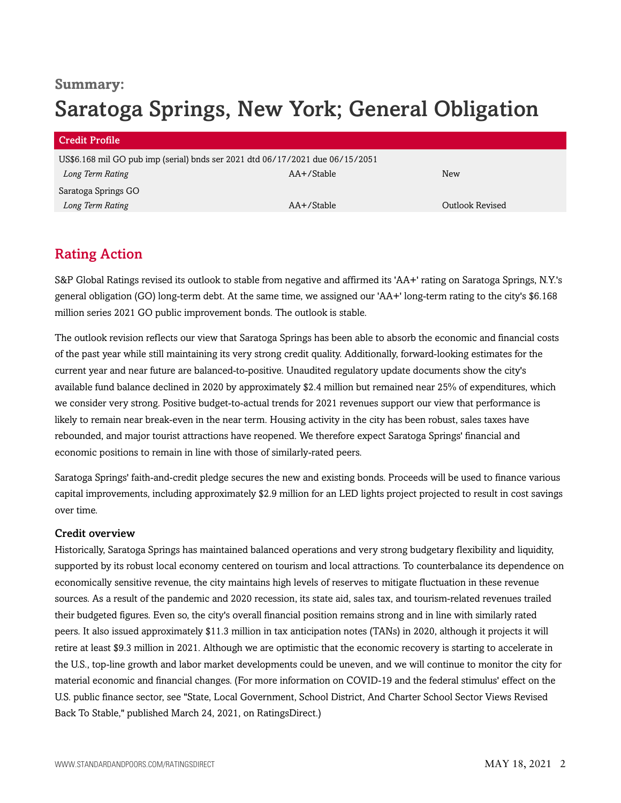# **Summary:** Saratoga Springs, New York; General Obligation

| <b>Credit Profile</b>                                                         |                 |                 |
|-------------------------------------------------------------------------------|-----------------|-----------------|
| US\$6.168 mil GO pub imp (serial) bnds ser 2021 dtd 06/17/2021 due 06/15/2051 |                 |                 |
| Long Term Rating                                                              | $AA + /$ Stable | <b>New</b>      |
| Saratoga Springs GO                                                           |                 |                 |
| Long Term Rating                                                              | $AA + /$ Stable | Outlook Revised |

# <span id="page-1-0"></span>Rating Action

S&P Global Ratings revised its outlook to stable from negative and affirmed its 'AA+' rating on Saratoga Springs, N.Y.'s general obligation (GO) long-term debt. At the same time, we assigned our 'AA+' long-term rating to the city's \$6.168 million series 2021 GO public improvement bonds. The outlook is stable.

The outlook revision reflects our view that Saratoga Springs has been able to absorb the economic and financial costs of the past year while still maintaining its very strong credit quality. Additionally, forward-looking estimates for the current year and near future are balanced-to-positive. Unaudited regulatory update documents show the city's available fund balance declined in 2020 by approximately \$2.4 million but remained near 25% of expenditures, which we consider very strong. Positive budget-to-actual trends for 2021 revenues support our view that performance is likely to remain near break-even in the near term. Housing activity in the city has been robust, sales taxes have rebounded, and major tourist attractions have reopened. We therefore expect Saratoga Springs' financial and economic positions to remain in line with those of similarly-rated peers.

Saratoga Springs' faith-and-credit pledge secures the new and existing bonds. Proceeds will be used to finance various capital improvements, including approximately \$2.9 million for an LED lights project projected to result in cost savings over time.

#### Credit overview

Historically, Saratoga Springs has maintained balanced operations and very strong budgetary flexibility and liquidity, supported by its robust local economy centered on tourism and local attractions. To counterbalance its dependence on economically sensitive revenue, the city maintains high levels of reserves to mitigate fluctuation in these revenue sources. As a result of the pandemic and 2020 recession, its state aid, sales tax, and tourism-related revenues trailed their budgeted figures. Even so, the city's overall financial position remains strong and in line with similarly rated peers. It also issued approximately \$11.3 million in tax anticipation notes (TANs) in 2020, although it projects it will retire at least \$9.3 million in 2021. Although we are optimistic that the economic recovery is starting to accelerate in the U.S., top-line growth and labor market developments could be uneven, and we will continue to monitor the city for material economic and financial changes. (For more information on COVID-19 and the federal stimulus' effect on the U.S. public finance sector, see "State, Local Government, School District, And Charter School Sector Views Revised Back To Stable," published March 24, 2021, on RatingsDirect.)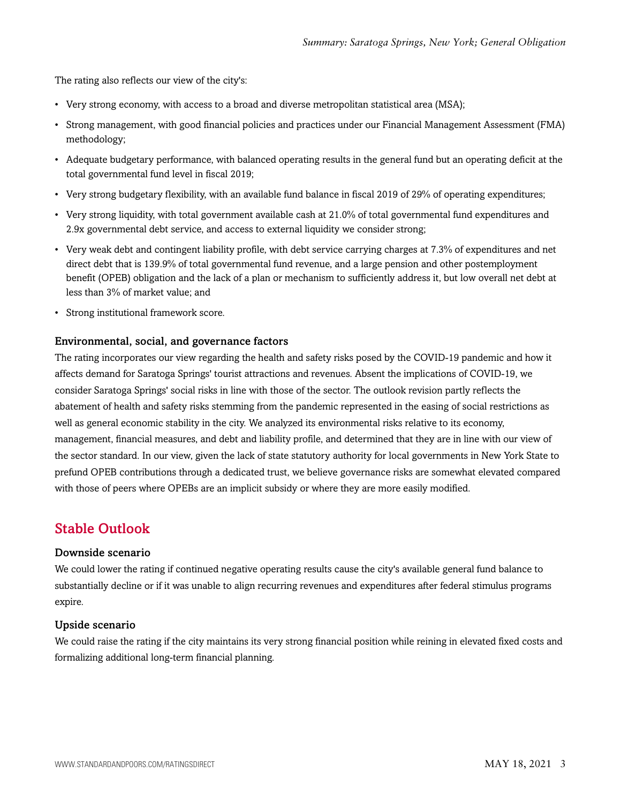The rating also reflects our view of the city's:

- Very strong economy, with access to a broad and diverse metropolitan statistical area (MSA);
- Strong management, with good financial policies and practices under our Financial Management Assessment (FMA) methodology;
- Adequate budgetary performance, with balanced operating results in the general fund but an operating deficit at the total governmental fund level in fiscal 2019;
- Very strong budgetary flexibility, with an available fund balance in fiscal 2019 of 29% of operating expenditures;
- Very strong liquidity, with total government available cash at 21.0% of total governmental fund expenditures and 2.9x governmental debt service, and access to external liquidity we consider strong;
- Very weak debt and contingent liability profile, with debt service carrying charges at 7.3% of expenditures and net direct debt that is 139.9% of total governmental fund revenue, and a large pension and other postemployment benefit (OPEB) obligation and the lack of a plan or mechanism to sufficiently address it, but low overall net debt at less than 3% of market value; and
- Strong institutional framework score.

#### Environmental, social, and governance factors

The rating incorporates our view regarding the health and safety risks posed by the COVID-19 pandemic and how it affects demand for Saratoga Springs' tourist attractions and revenues. Absent the implications of COVID-19, we consider Saratoga Springs' social risks in line with those of the sector. The outlook revision partly reflects the abatement of health and safety risks stemming from the pandemic represented in the easing of social restrictions as well as general economic stability in the city. We analyzed its environmental risks relative to its economy, management, financial measures, and debt and liability profile, and determined that they are in line with our view of the sector standard. In our view, given the lack of state statutory authority for local governments in New York State to prefund OPEB contributions through a dedicated trust, we believe governance risks are somewhat elevated compared with those of peers where OPEBs are an implicit subsidy or where they are more easily modified.

### <span id="page-2-0"></span>Stable Outlook

#### Downside scenario

We could lower the rating if continued negative operating results cause the city's available general fund balance to substantially decline or if it was unable to align recurring revenues and expenditures after federal stimulus programs expire.

#### Upside scenario

We could raise the rating if the city maintains its very strong financial position while reining in elevated fixed costs and formalizing additional long-term financial planning.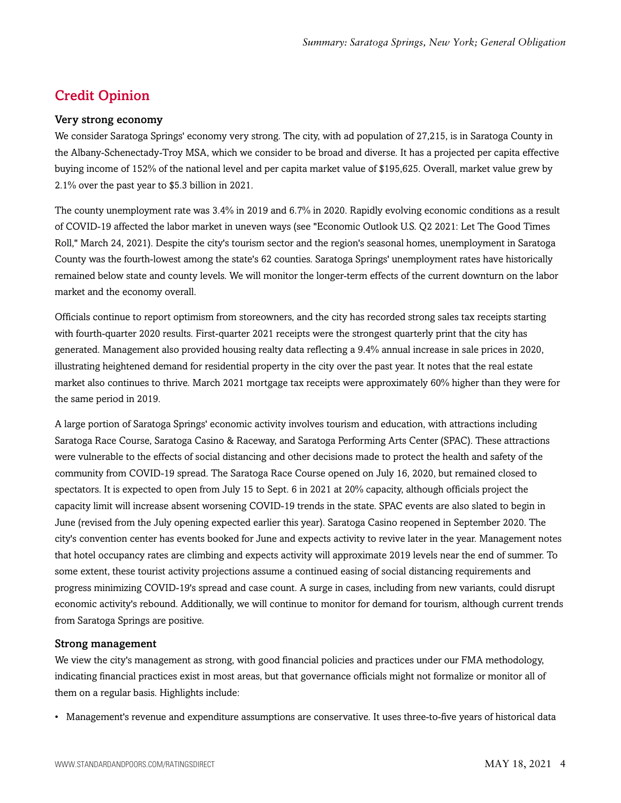# <span id="page-3-0"></span>Credit Opinion

#### Very strong economy

We consider Saratoga Springs' economy very strong. The city, with ad population of 27,215, is in Saratoga County in the Albany-Schenectady-Troy MSA, which we consider to be broad and diverse. It has a projected per capita effective buying income of 152% of the national level and per capita market value of \$195,625. Overall, market value grew by 2.1% over the past year to \$5.3 billion in 2021.

The county unemployment rate was 3.4% in 2019 and 6.7% in 2020. Rapidly evolving economic conditions as a result of COVID-19 affected the labor market in uneven ways (see "Economic Outlook U.S. Q2 2021: Let The Good Times Roll," March 24, 2021). Despite the city's tourism sector and the region's seasonal homes, unemployment in Saratoga County was the fourth-lowest among the state's 62 counties. Saratoga Springs' unemployment rates have historically remained below state and county levels. We will monitor the longer-term effects of the current downturn on the labor market and the economy overall.

Officials continue to report optimism from storeowners, and the city has recorded strong sales tax receipts starting with fourth-quarter 2020 results. First-quarter 2021 receipts were the strongest quarterly print that the city has generated. Management also provided housing realty data reflecting a 9.4% annual increase in sale prices in 2020, illustrating heightened demand for residential property in the city over the past year. It notes that the real estate market also continues to thrive. March 2021 mortgage tax receipts were approximately 60% higher than they were for the same period in 2019.

A large portion of Saratoga Springs' economic activity involves tourism and education, with attractions including Saratoga Race Course, Saratoga Casino & Raceway, and Saratoga Performing Arts Center (SPAC). These attractions were vulnerable to the effects of social distancing and other decisions made to protect the health and safety of the community from COVID-19 spread. The Saratoga Race Course opened on July 16, 2020, but remained closed to spectators. It is expected to open from July 15 to Sept. 6 in 2021 at 20% capacity, although officials project the capacity limit will increase absent worsening COVID-19 trends in the state. SPAC events are also slated to begin in June (revised from the July opening expected earlier this year). Saratoga Casino reopened in September 2020. The city's convention center has events booked for June and expects activity to revive later in the year. Management notes that hotel occupancy rates are climbing and expects activity will approximate 2019 levels near the end of summer. To some extent, these tourist activity projections assume a continued easing of social distancing requirements and progress minimizing COVID-19's spread and case count. A surge in cases, including from new variants, could disrupt economic activity's rebound. Additionally, we will continue to monitor for demand for tourism, although current trends from Saratoga Springs are positive.

#### Strong management

We view the city's management as strong, with good financial policies and practices under our FMA methodology, indicating financial practices exist in most areas, but that governance officials might not formalize or monitor all of them on a regular basis. Highlights include:

• Management's revenue and expenditure assumptions are conservative. It uses three-to-five years of historical data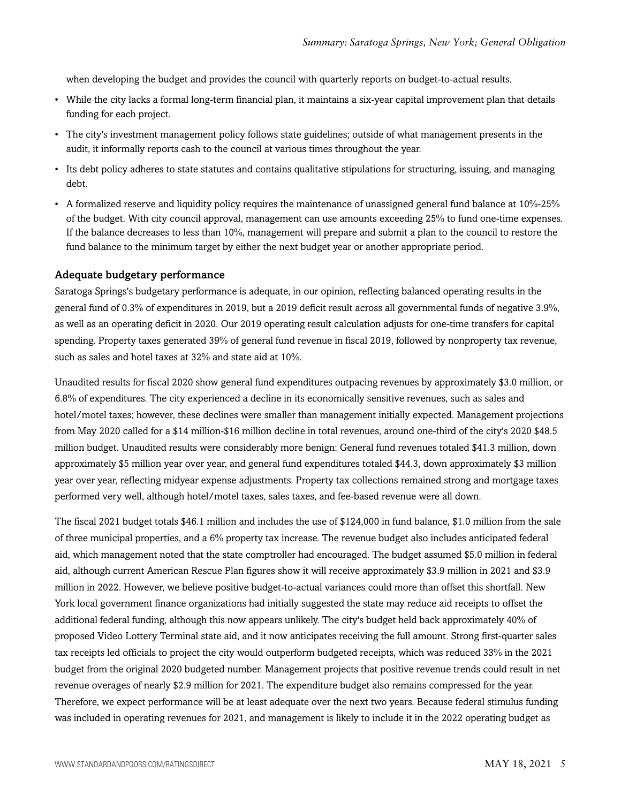when developing the budget and provides the council with quarterly reports on budget-to-actual results.

- While the city lacks a formal long-term financial plan, it maintains a six-year capital improvement plan that details funding for each project.
- The city's investment management policy follows state guidelines; outside of what management presents in the audit, it informally reports cash to the council at various times throughout the year.
- Its debt policy adheres to state statutes and contains qualitative stipulations for structuring, issuing, and managing debt.
- A formalized reserve and liquidity policy requires the maintenance of unassigned general fund balance at 10%-25% of the budget. With city council approval, management can use amounts exceeding 25% to fund one-time expenses. If the balance decreases to less than 10%, management will prepare and submit a plan to the council to restore the fund balance to the minimum target by either the next budget year or another appropriate period.

#### Adequate budgetary performance

Saratoga Springs's budgetary performance is adequate, in our opinion, reflecting balanced operating results in the general fund of 0.3% of expenditures in 2019, but a 2019 deficit result across all governmental funds of negative 3.9%, as well as an operating deficit in 2020. Our 2019 operating result calculation adjusts for one-time transfers for capital spending. Property taxes generated 39% of general fund revenue in fiscal 2019, followed by nonproperty tax revenue, such as sales and hotel taxes at 32% and state aid at 10%.

Unaudited results for fiscal 2020 show general fund expenditures outpacing revenues by approximately \$3.0 million, or 6.8% of expenditures. The city experienced a decline in its economically sensitive revenues, such as sales and hotel/motel taxes; however, these declines were smaller than management initially expected. Management projections from May 2020 called for a \$14 million-\$16 million decline in total revenues, around one-third of the city's 2020 \$48.5 million budget. Unaudited results were considerably more benign: General fund revenues totaled \$41.3 million, down approximately \$5 million year over year, and general fund expenditures totaled \$44.3, down approximately \$3 million year over year, reflecting midyear expense adjustments. Property tax collections remained strong and mortgage taxes performed very well, although hotel/motel taxes, sales taxes, and fee-based revenue were all down.

The fiscal 2021 budget totals \$46.1 million and includes the use of \$124,000 in fund balance, \$1.0 million from the sale of three municipal properties, and a 6% property tax increase. The revenue budget also includes anticipated federal aid, which management noted that the state comptroller had encouraged. The budget assumed \$5.0 million in federal aid, although current American Rescue Plan figures show it will receive approximately \$3.9 million in 2021 and \$3.9 million in 2022. However, we believe positive budget-to-actual variances could more than offset this shortfall. New York local government finance organizations had initially suggested the state may reduce aid receipts to offset the additional federal funding, although this now appears unlikely. The city's budget held back approximately 40% of proposed Video Lottery Terminal state aid, and it now anticipates receiving the full amount. Strong first-quarter sales tax receipts led officials to project the city would outperform budgeted receipts, which was reduced 33% in the 2021 budget from the original 2020 budgeted number. Management projects that positive revenue trends could result in net revenue overages of nearly \$2.9 million for 2021. The expenditure budget also remains compressed for the year. Therefore, we expect performance will be at least adequate over the next two years. Because federal stimulus funding was included in operating revenues for 2021, and management is likely to include it in the 2022 operating budget as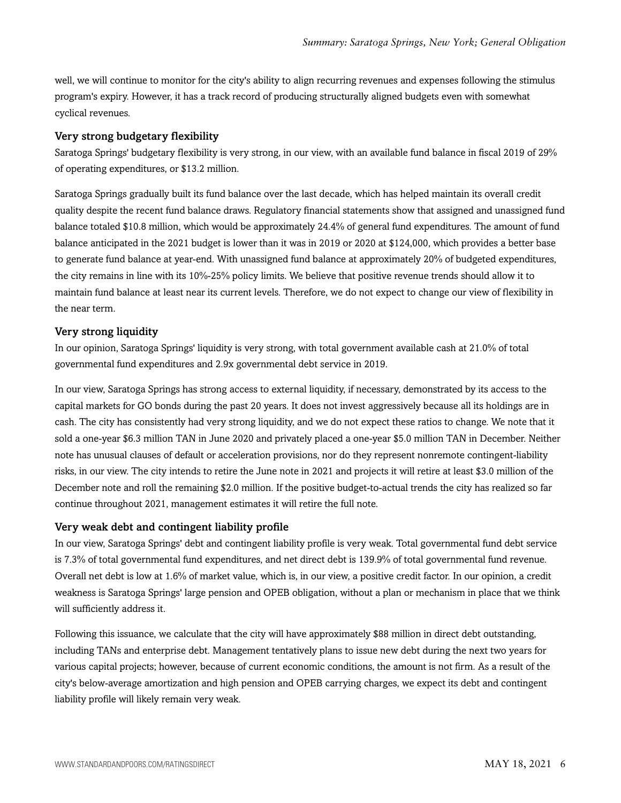well, we will continue to monitor for the city's ability to align recurring revenues and expenses following the stimulus program's expiry. However, it has a track record of producing structurally aligned budgets even with somewhat cyclical revenues.

#### Very strong budgetary flexibility

Saratoga Springs' budgetary flexibility is very strong, in our view, with an available fund balance in fiscal 2019 of 29% of operating expenditures, or \$13.2 million.

Saratoga Springs gradually built its fund balance over the last decade, which has helped maintain its overall credit quality despite the recent fund balance draws. Regulatory financial statements show that assigned and unassigned fund balance totaled \$10.8 million, which would be approximately 24.4% of general fund expenditures. The amount of fund balance anticipated in the 2021 budget is lower than it was in 2019 or 2020 at \$124,000, which provides a better base to generate fund balance at year-end. With unassigned fund balance at approximately 20% of budgeted expenditures, the city remains in line with its 10%-25% policy limits. We believe that positive revenue trends should allow it to maintain fund balance at least near its current levels. Therefore, we do not expect to change our view of flexibility in the near term.

#### Very strong liquidity

In our opinion, Saratoga Springs' liquidity is very strong, with total government available cash at 21.0% of total governmental fund expenditures and 2.9x governmental debt service in 2019.

In our view, Saratoga Springs has strong access to external liquidity, if necessary, demonstrated by its access to the capital markets for GO bonds during the past 20 years. It does not invest aggressively because all its holdings are in cash. The city has consistently had very strong liquidity, and we do not expect these ratios to change. We note that it sold a one-year \$6.3 million TAN in June 2020 and privately placed a one-year \$5.0 million TAN in December. Neither note has unusual clauses of default or acceleration provisions, nor do they represent nonremote contingent-liability risks, in our view. The city intends to retire the June note in 2021 and projects it will retire at least \$3.0 million of the December note and roll the remaining \$2.0 million. If the positive budget-to-actual trends the city has realized so far continue throughout 2021, management estimates it will retire the full note.

#### Very weak debt and contingent liability profile

In our view, Saratoga Springs' debt and contingent liability profile is very weak. Total governmental fund debt service is 7.3% of total governmental fund expenditures, and net direct debt is 139.9% of total governmental fund revenue. Overall net debt is low at 1.6% of market value, which is, in our view, a positive credit factor. In our opinion, a credit weakness is Saratoga Springs' large pension and OPEB obligation, without a plan or mechanism in place that we think will sufficiently address it.

Following this issuance, we calculate that the city will have approximately \$88 million in direct debt outstanding, including TANs and enterprise debt. Management tentatively plans to issue new debt during the next two years for various capital projects; however, because of current economic conditions, the amount is not firm. As a result of the city's below-average amortization and high pension and OPEB carrying charges, we expect its debt and contingent liability profile will likely remain very weak.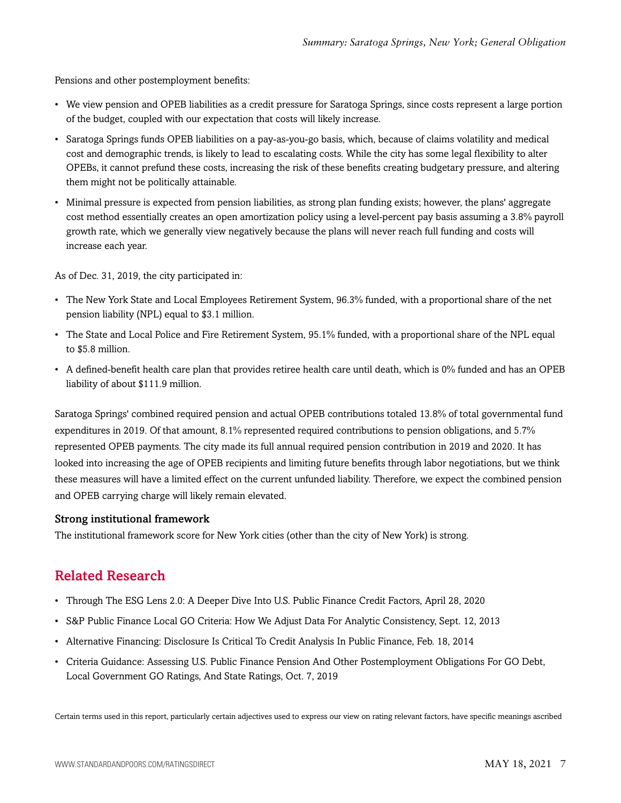Pensions and other postemployment benefits:

- We view pension and OPEB liabilities as a credit pressure for Saratoga Springs, since costs represent a large portion of the budget, coupled with our expectation that costs will likely increase.
- Saratoga Springs funds OPEB liabilities on a pay-as-you-go basis, which, because of claims volatility and medical cost and demographic trends, is likely to lead to escalating costs. While the city has some legal flexibility to alter OPEBs, it cannot prefund these costs, increasing the risk of these benefits creating budgetary pressure, and altering them might not be politically attainable.
- Minimal pressure is expected from pension liabilities, as strong plan funding exists; however, the plans' aggregate cost method essentially creates an open amortization policy using a level-percent pay basis assuming a 3.8% payroll growth rate, which we generally view negatively because the plans will never reach full funding and costs will increase each year.

As of Dec. 31, 2019, the city participated in:

- The New York State and Local Employees Retirement System, 96.3% funded, with a proportional share of the net pension liability (NPL) equal to \$3.1 million.
- The State and Local Police and Fire Retirement System, 95.1% funded, with a proportional share of the NPL equal to \$5.8 million.
- A defined-benefit health care plan that provides retiree health care until death, which is 0% funded and has an OPEB liability of about \$111.9 million.

Saratoga Springs' combined required pension and actual OPEB contributions totaled 13.8% of total governmental fund expenditures in 2019. Of that amount, 8.1% represented required contributions to pension obligations, and 5.7% represented OPEB payments. The city made its full annual required pension contribution in 2019 and 2020. It has looked into increasing the age of OPEB recipients and limiting future benefits through labor negotiations, but we think these measures will have a limited effect on the current unfunded liability. Therefore, we expect the combined pension and OPEB carrying charge will likely remain elevated.

#### Strong institutional framework

<span id="page-6-0"></span>The institutional framework score for New York cities (other than the city of New York) is strong.

## Related Research

- Through The ESG Lens 2.0: A Deeper Dive Into U.S. Public Finance Credit Factors, April 28, 2020
- S&P Public Finance Local GO Criteria: How We Adjust Data For Analytic Consistency, Sept. 12, 2013
- Alternative Financing: Disclosure Is Critical To Credit Analysis In Public Finance, Feb. 18, 2014
- Criteria Guidance: Assessing U.S. Public Finance Pension And Other Postemployment Obligations For GO Debt, Local Government GO Ratings, And State Ratings, Oct. 7, 2019

Certain terms used in this report, particularly certain adjectives used to express our view on rating relevant factors, have specific meanings ascribed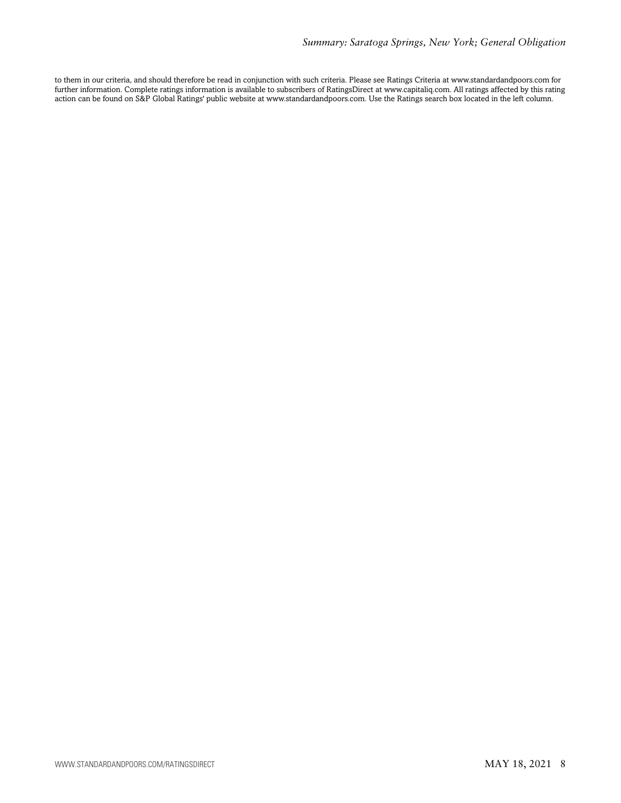to them in our criteria, and should therefore be read in conjunction with such criteria. Please see Ratings Criteria at www.standardandpoors.com for further information. Complete ratings information is available to subscribers of RatingsDirect at www.capitaliq.com. All ratings affected by this rating action can be found on S&P Global Ratings' public website at www.standardandpoors.com. Use the Ratings search box located in the left column.